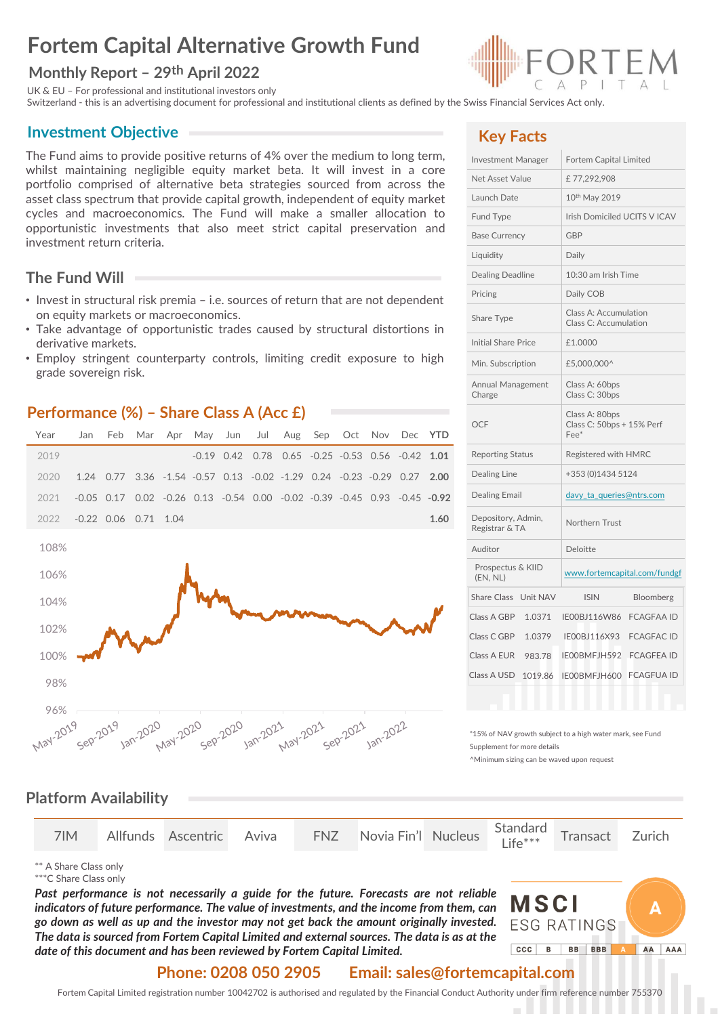# **Fortem Capital Alternative Growth Fund**

#### **Monthly Report – 29th April 2022**

UK & EU – For professional and institutional investors only

Switzerland - this is an advertising document for professional and institutional clients as defined by the Swiss Financial Services Act only.

#### **Investment Objective**

The Fund aims to provide positive returns of 4% over the medium to long term, whilst maintaining negligible equity market beta. It will invest in a core portfolio comprised of alternative beta strategies sourced from across the asset class spectrum that provide capital growth, independent of equity market cycles and macroeconomics. The Fund will make a smaller allocation to opportunistic investments that also meet strict capital preservation and investment return criteria.

## **The Fund Will**

- Invest in structural risk premia i.e. sources of return that are not dependent on equity markets or macroeconomics.
- Take advantage of opportunistic trades caused by structural distortions in derivative markets.
- Employ stringent counterparty controls, limiting credit exposure to high grade sovereign risk.

#### **Performance (%) – Share Class A (Acc £)**





## **Key Facts**

| <b>Investment Manager</b>            | Fortem Capital Limited                                 |  |  |  |  |  |
|--------------------------------------|--------------------------------------------------------|--|--|--|--|--|
| Net Asset Value                      | £77,292,908                                            |  |  |  |  |  |
| Launch Date                          | 10 <sup>th</sup> May 2019                              |  |  |  |  |  |
| <b>Fund Type</b>                     | Irish Domiciled UCITS V ICAV                           |  |  |  |  |  |
| <b>Base Currency</b>                 | <b>GBP</b>                                             |  |  |  |  |  |
| Liquidity                            | Daily                                                  |  |  |  |  |  |
| Dealing Deadline                     | 10:30 am Irish Time                                    |  |  |  |  |  |
| Pricing                              | Daily COB                                              |  |  |  |  |  |
| Share Type                           | Class A: Accumulation<br>Class C: Accumulation         |  |  |  |  |  |
| <b>Initial Share Price</b>           | £1.0000                                                |  |  |  |  |  |
| Min. Subscription                    | £5,000,000^                                            |  |  |  |  |  |
| Annual Management<br>Charge          | Class A: 60bps<br>Class C: 30bps                       |  |  |  |  |  |
| <b>OCF</b>                           | Class A: 80bps<br>Class C: 50bps + 15% Perf<br>$Fee^*$ |  |  |  |  |  |
| <b>Reporting Status</b>              | Registered with HMRC                                   |  |  |  |  |  |
| Dealing Line                         | +353 (0)1434 5124                                      |  |  |  |  |  |
| <b>Dealing Email</b>                 | davy_ta_queries@ntrs.com                               |  |  |  |  |  |
| Depository, Admin,<br>Registrar & TA | Northern Trust                                         |  |  |  |  |  |
| Auditor                              | Deloitte                                               |  |  |  |  |  |
| Prospectus & KIID<br>(EN, NL)        | www.fortemcapital.com/fundgf                           |  |  |  |  |  |
| Unit NAV<br><b>Share Class</b>       | <b>ISIN</b><br>Bloomberg                               |  |  |  |  |  |
| Class A GBP<br>1.0371                | IE00BJ116W86<br><b>FCAGFAA ID</b>                      |  |  |  |  |  |
| Class C GBP<br>1.0379                | IE00BJ116X93<br><b>FCAGFAC ID</b>                      |  |  |  |  |  |
| Class A EUR<br>983.78                | IE00BMFJH592<br><b>FCAGFEA ID</b>                      |  |  |  |  |  |
| Class A USD<br>1019.86               | <b>FCAGFUA ID</b><br>IE00BMFJH600                      |  |  |  |  |  |
|                                      |                                                        |  |  |  |  |  |

\*15% of NAV growth subject to a high water mark, see Fund Supplement for more details

^Minimum sizing can be waved upon request

#### **Platform Availability**

|  |  |  |  |  | 7IM Allfunds Ascentric Aviva FNZ Novia Fin'l Nucleus Standard Transact Zurich |  |  |  |  |
|--|--|--|--|--|-------------------------------------------------------------------------------|--|--|--|--|
|--|--|--|--|--|-------------------------------------------------------------------------------|--|--|--|--|

\*\* A Share Class only

\*\*\*C Share Class only

*Past performance is not necessarily a guide for the future. Forecasts are not reliable indicators of future performance. The value of investments, and the income from them, can go down as well as up and the investor may not get back the amount originally invested. The data is sourced from Fortem Capital Limited and external sources. The data is as at the date of this document and has been reviewed by Fortem Capital Limited.*



#### **Phone: 0208 050 2905 Email: sales@fortemcapital.com**

Fortem Capital Limited registration number 10042702 is authorised and regulated by the Financial Conduct Authority under firm reference number 755370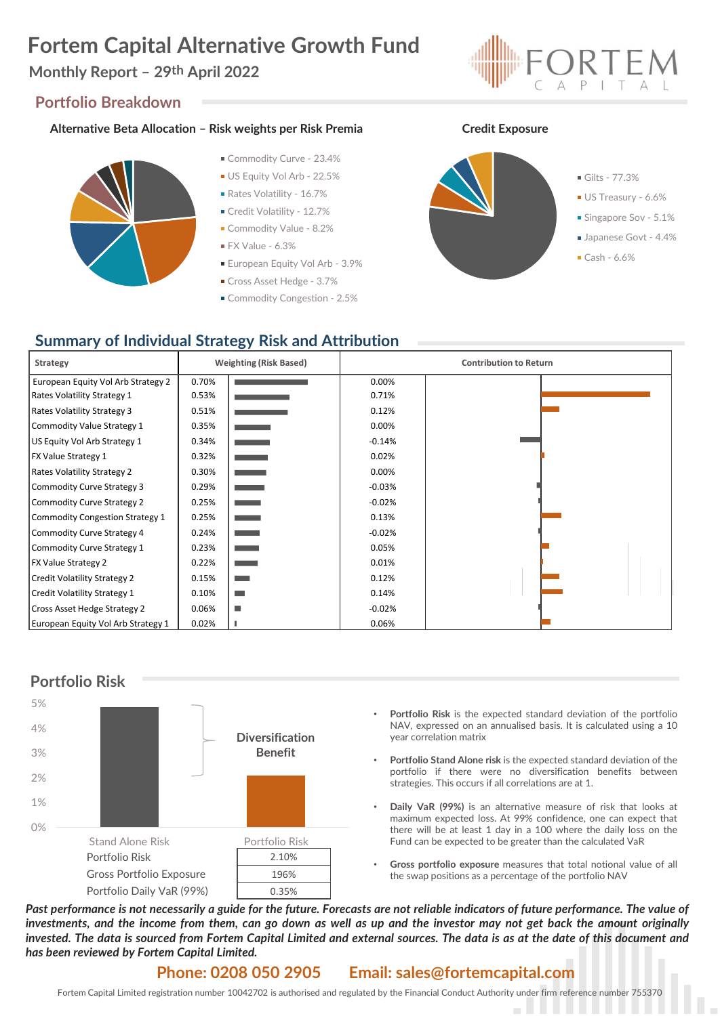# **Fortem Capital Alternative Growth Fund**

## **Monthly Report – 29th April 2022**

#### **Portfolio Breakdown**

#### **Alternative Beta Allocation – Risk weights per Risk Premia Credit Exposure**



- Commodity Curve 23.4%
- US Equity Vol Arb 22.5%
- Rates Volatility 16.7%
- Credit Volatility 12.7%
- **Commodity Value 8.2%**
- $\blacksquare$  FX Value 6.3%
- **European Equity Vol Arb 3.9%**
- Cross Asset Hedge 3.7%
- Commodity Congestion 2.5%





## **Summary of Individual Strategy Risk and Attribution**

| Strategy                           |       | <b>Weighting (Risk Based)</b> | <b>Contribution to Return</b> |  |
|------------------------------------|-------|-------------------------------|-------------------------------|--|
| European Equity Vol Arb Strategy 2 | 0.70% |                               | 0.00%                         |  |
| Rates Volatility Strategy 1        | 0.53% |                               | 0.71%                         |  |
| <b>Rates Volatility Strategy 3</b> | 0.51% |                               | 0.12%                         |  |
| Commodity Value Strategy 1         | 0.35% | <b>State State</b>            | 0.00%                         |  |
| US Equity Vol Arb Strategy 1       | 0.34% | <b>State State</b>            | $-0.14%$                      |  |
| <b>FX Value Strategy 1</b>         | 0.32% |                               | 0.02%                         |  |
| <b>Rates Volatility Strategy 2</b> | 0.30% | <b>State State</b>            | 0.00%                         |  |
| Commodity Curve Strategy 3         | 0.29% | and the state of              | $-0.03%$                      |  |
| Commodity Curve Strategy 2         | 0.25% | <b>The Common</b>             | $-0.02%$                      |  |
| Commodity Congestion Strategy 1    | 0.25% | <b>STATISTICS</b>             | 0.13%                         |  |
| Commodity Curve Strategy 4         | 0.24% |                               | $-0.02%$                      |  |
| Commodity Curve Strategy 1         | 0.23% |                               | 0.05%                         |  |
| <b>FX Value Strategy 2</b>         | 0.22% |                               | 0.01%                         |  |
| Credit Volatility Strategy 2       | 0.15% |                               | 0.12%                         |  |
| Credit Volatility Strategy 1       | 0.10% | <b>Contract</b>               | 0.14%                         |  |
| Cross Asset Hedge Strategy 2       | 0.06% | ш                             | $-0.02%$                      |  |
| European Equity Vol Arb Strategy 1 | 0.02% |                               | 0.06%                         |  |



- **Portfolio Risk** is the expected standard deviation of the portfolio NAV, expressed on an annualised basis. It is calculated using a 10 year correlation matrix
- **Portfolio Stand Alone risk** is the expected standard deviation of the portfolio if there were no diversification benefits between strategies. This occurs if all correlations are at 1.
- **Daily VaR (99%)** is an alternative measure of risk that looks at maximum expected loss. At 99% confidence, one can expect that there will be at least 1 day in a 100 where the daily loss on the Fund can be expected to be greater than the calculated VaR
- **Gross portfolio exposure** measures that total notional value of all the swap positions as a percentage of the portfolio NAV

Past performance is not necessarily a guide for the future. Forecasts are not reliable indicators of future performance. The value of investments, and the income from them, can go down as well as up and the investor may not get back the amount originally invested. The data is sourced from Fortem Capital Limited and external sources. The data is as at the date of this document and *has been reviewed by Fortem Capital Limited.*

#### **Phone: 0208 050 2905 Email: sales@fortemcapital.com**

Fortem Capital Limited registration number 10042702 is authorised and regulated by the Financial Conduct Authority under firm reference number 755370